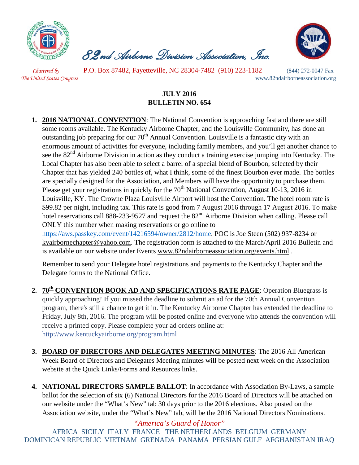

 *82nd Airborne Division Association, Inc.* 



*Chartered by* P.O. Box 87482, Fayetteville, NC 28304-7482 (910) 223-1182 (844) 272-0047 Fax *The United States Congress* www.82ndairborneassociation.org

## **JULY 2016 BULLETIN NO. 654**

**1. 2016 NATIONAL CONVENTION**: The National Convention is approaching fast and there are still some rooms available. The Kentucky Airborne Chapter, and the Louisville Community, has done an outstanding job preparing for our  $70<sup>th</sup>$  Annual Convention. Louisville is a fantastic city with an enormous amount of activities for everyone, including family members, and you'll get another chance to see the 82<sup>nd</sup> Airborne Division in action as they conduct a training exercise jumping into Kentucky. The Local Chapter has also been able to select a barrel of a special blend of Bourbon, selected by their Chapter that has yielded 240 bottles of, what I think, some of the finest Bourbon ever made. The bottles are specially designed for the Association, and Members will have the opportunity to purchase them. Please get your registrations in quickly for the  $70<sup>th</sup>$  National Convention, August 10-13, 2016 in Louisville, KY. The Crowne Plaza Louisville Airport will host the Convention. The hotel room rate is \$99.82 per night, including tax. This rate is good from 7 August 2016 through 17 August 2016. To make hotel reservations call 888-233-9527 and request the 82<sup>nd</sup> Airborne Division when calling. Please call ONLY this number when making reservations or go online to [https://aws.passkey.com/event/14216594/owner/2812/home.](https://aws.passkey.com/event/14216594/owner/2812/home) POC is Joe Steen (502) 937-8234 or [kyairbornechapter@yahoo.com.](mailto:kyairbornechapter@yahoo.com) The registration form is attached to the March/April 2016 Bulletin and

is available on our website under Events [www.82ndairborneassociation.org/events.html](http://www.82ndairborneassociation.org/events.html) .

Remember to send your Delegate hotel registrations and payments to the Kentucky Chapter and the Delegate forms to the National Office.

- 2. **70<sup>th</sup> CONVENTION BOOK AD AND SPECIFICATIONS RATE PAGE**: Operation Bluegrass is quickly approaching! If you missed the deadline to submit an ad for the 70th Annual Convention program, there's still a chance to get it in. The Kentucky Airborne Chapter has extended the deadline to Friday, July 8th, 2016. The program will be posted online and everyone who attends the convention will receive a printed copy. Please complete your ad orders online at: <http://www.kentuckyairborne.org/program.html>
- **3. BOARD OF DIRECTORS AND DELEGATES MEETING MINUTES**: The 2016 All American Week Board of Directors and Delegates Meeting minutes will be posted next week on the Association website at the Quick Links/Forms and Resources links.
- **4. NATIONAL DIRECTORS SAMPLE BALLOT**: In accordance with Association By-Laws, a sample ballot for the selection of six (6) National Directors for the 2016 Board of Directors will be attached on our website under the "What's New" tab 30 days prior to the 2016 elections. Also posted on the Association website, under the "What's New" tab, will be the 2016 National Directors Nominations.

*"America's Guard of Honor"* AFRICA SICILY ITALY FRANCE THE NETHERLANDS BELGIUM GERMANY DOMINICAN REPUBLIC VIETNAM GRENADA PANAMA PERSIAN GULF AFGHANISTAN IRAQ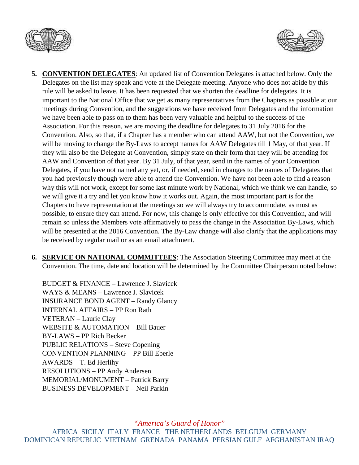



- **5. CONVENTION DELEGATES**: An updated list of Convention Delegates is attached below. Only the Delegates on the list may speak and vote at the Delegate meeting. Anyone who does not abide by this rule will be asked to leave. It has been requested that we shorten the deadline for delegates. It is important to the National Office that we get as many representatives from the Chapters as possible at our meetings during Convention, and the suggestions we have received from Delegates and the information we have been able to pass on to them has been very valuable and helpful to the success of the Association. For this reason, we are moving the deadline for delegates to 31 July 2016 for the Convention. Also, so that, if a Chapter has a member who can attend AAW, but not the Convention, we will be moving to change the By-Laws to accept names for AAW Delegates till 1 May, of that year. If they will also be the Delegate at Convention, simply state on their form that they will be attending for AAW and Convention of that year. By 31 July, of that year, send in the names of your Convention Delegates, if you have not named any yet, or, if needed, send in changes to the names of Delegates that you had previously though were able to attend the Convention. We have not been able to find a reason why this will not work, except for some last minute work by National, which we think we can handle, so we will give it a try and let you know how it works out. Again, the most important part is for the Chapters to have representation at the meetings so we will always try to accommodate, as must as possible, to ensure they can attend. For now, this change is only effective for this Convention, and will remain so unless the Members vote affirmatively to pass the change in the Association By-Laws, which will be presented at the 2016 Convention. The By-Law change will also clarify that the applications may be received by regular mail or as an email attachment.
- **6. SERVICE ON NATIONAL COMMITTEES**: The Association Steering Committee may meet at the Convention. The time, date and location will be determined by the Committee Chairperson noted below:

BUDGET & FINANCE – Lawrence J. Slavicek WAYS & MEANS – Lawrence J. Slavicek INSURANCE BOND AGENT – Randy Glancy INTERNAL AFFAIRS – PP Ron Rath VETERAN – Laurie Clay WEBSITE & AUTOMATION – Bill Bauer BY-LAWS – PP Rich Becker PUBLIC RELATIONS – Steve Copening CONVENTION PLANNING – PP Bill Eberle AWARDS – T. Ed Herlihy RESOLUTIONS – PP Andy Andersen MEMORIAL/MONUMENT – Patrick Barry BUSINESS DEVELOPMENT – Neil Parkin

*"America's Guard of Honor"*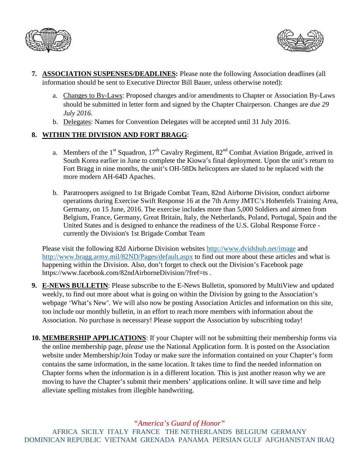



- **7. ASSOCIATION SUSPENSES/DEADLINES:** Please note the following Association deadlines (all information should be sent to Executive Director Bill Bauer, unless otherwise noted):
	- a. Changes to By-Laws: Proposed changes and/or amendments to Chapter or Association By-Laws should be submitted in letter form and signed by the Chapter Chairperson. Changes are *due 29 July 2016*.
	- b. Delegates: Names for Convention Delegates will be accepted until 31 July 2016.

## **8. WITHIN THE DIVISION AND FORT BRAGG**:

- a. Members of the 1<sup>st</sup> Squadron, 17<sup>th</sup> Cavalry Regiment,  $82<sup>nd</sup>$  Combat Aviation Brigade, arrived in South Korea earlier in June to complete the Kiowa's final deployment. Upon the unit's return to Fort Bragg in nine months, the unit's OH-58Ds helicopters are slated to be replaced with the more modern AH-64D Apaches.
- b. Paratroopers assigned to [1st Brigade Combat Team, 82nd Airborne Division,](https://www.facebook.com/1bct82/) conduct airborne operations during Exercise Swift [Response](https://www.facebook.com/hashtag/swiftresponse?source=feed_text&story_id=10153892370428558) 16 at the [7th Army JMTC'](https://www.facebook.com/7thArmyJMTC/)s Hohenfels Training Area, Germany, on 15 June, 2016. The exercise includes more than 5,000 Soldiers and airmen from Belgium, France, Germany, Great Britain, Italy, the Netherlands, Poland, Portugal, Spain and the United States and is designed to enhance the readiness of the U.S. Global Response Force currently the Division's 1st Brigade Combat Team

Please visit the following 82d Airborne Division websites<http://www.dvidshub.net/image> and <http://www.bragg.army.mil/82ND/Pages/default.aspx> to find out more about these articles and what is happening within the Division. Also, don't forget to check out the Division's Facebook page https://www.facebook.com/82ndAirborneDivision/?fref=ts .

- **9. E-NEWS BULLETIN**: Please subscribe to the E-News Bulletin, sponsored by MultiView and updated weekly, to find out more about what is going on within the Division by going to the Association's webpage 'What's New'. We will also now be posting Association Articles and information on this site, too include our monthly bulletin, in an effort to reach more members with information about the Association. No purchase is necessary! Please support the Association by subscribing today!
- **10. MEMBERSHIP APPLICATIONS**: If your Chapter will not be submitting their membership forms via the online membership page, p*lease* use the National Application form. It is posted on the Association website under Membership/Join Today or make sure the information contained on your Chapter's form contains the same information, in the same location. It takes time to find the needed information on Chapter forms when the information is in a different location. This is just another reason why we are moving to have the Chapter's submit their members' applications online. It will save time and help alleviate spelling mistakes from illegible handwriting.

*"America's Guard of Honor"*

AFRICA SICILY ITALY FRANCE THE NETHERLANDS BELGIUM GERMANY DOMINICAN REPUBLIC VIETNAM GRENADA PANAMA PERSIAN GULF AFGHANISTAN IRAQ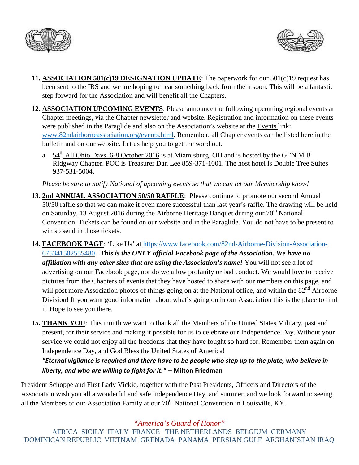



- **11. ASSOCIATION 501(c)19 DESIGNATION UPDATE**: The paperwork for our 501(c)19 request has been sent to the IRS and we are hoping to hear something back from them soon. This will be a fantastic step forward for the Association and will benefit all the Chapters.
- **12. ASSOCIATION UPCOMING EVENTS**: Please announce the following upcoming regional events at Chapter meetings, via the Chapter newsletter and website. Registration and information on these events were published in the Paraglide and also on the Association's website at the Events link: [www.82ndairborneassociation.org/events.html.](http://www.82ndairborneassociation.org/events.html) Remember, all Chapter events can be listed here in the bulletin and on our website. Let us help you to get the word out.
	- a.  $54<sup>th</sup>$  All Ohio Days, 6-8 October 2016 is at Miamisburg, OH and is hosted by the GEN M B Ridgway Chapter. POC is Treasurer Dan Lee 859-371-1001. The host hotel is Double Tree Suites 937-531-5004.

*Please be sure to notify National of upcoming events so that we can let our Membership know!*

- **13. 2nd ANNUAL ASSOCIATION 50/50 RAFFLE**: Please continue to promote our second Annual 50/50 raffle so that we can make it even more successful than last year's raffle. The drawing will be held on Saturday, 13 August 2016 during the Airborne Heritage Banquet during our 70<sup>th</sup> National Convention. Tickets can be found on our website and in the Paraglide. You do not have to be present to win so send in those tickets.
- **14. FACEBOOK PAGE**: 'Like Us' at [https://www.facebook.com/82nd-Airborne-Division-Association-](https://www.facebook.com/82nd-Airborne-Division-Association-675341502555480)[675341502555480.](https://www.facebook.com/82nd-Airborne-Division-Association-675341502555480) *This is the ONLY official Facebook page of the Association. We have no affiliation with any other sites that are using the Association's name!* You will not see a lot of advertising on our Facebook page, nor do we allow profanity or bad conduct. We would love to receive pictures from the Chapters of events that they have hosted to share with our members on this page, and will post more Association photos of things going on at the National office, and within the 82<sup>nd</sup> Airborne Division! If you want good information about what's going on in our Association this is the place to find it. Hope to see you there.
- **15. THANK YOU**: This month we want to thank all the Members of the United States Military, past and present, for their service and making it possible for us to celebrate our Independence Day. Without your service we could not enjoy all the freedoms that they have fought so hard for. Remember them again on Independence Day, and God Bless the United States of America!

## *"Eternal vigilance is required and there have to be people who step up to the plate, who believe in liberty, and who are willing to fight for it."* **-- Milton Friedman**

President Schoppe and First Lady Vickie, together with the Past Presidents, Officers and Directors of the Association wish you all a wonderful and safe Independence Day, and summer, and we look forward to seeing all the Members of our Association Family at our  $70<sup>th</sup>$  National Convention in Louisville, KY.

*"America's Guard of Honor"*

AFRICA SICILY ITALY FRANCE THE NETHERLANDS BELGIUM GERMANY DOMINICAN REPUBLIC VIETNAM GRENADA PANAMA PERSIAN GULF AFGHANISTAN IRAQ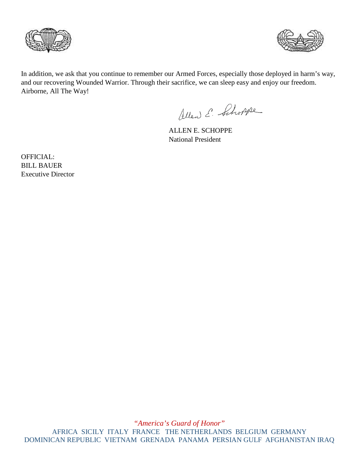



In addition, we ask that you continue to remember our Armed Forces, especially those deployed in harm's way, and our recovering Wounded Warrior. Through their sacrifice, we can sleep easy and enjoy our freedom. Airborne, All The Way!

Allen E. Schoppe

ALLEN E. SCHOPPE National President

OFFICIAL: BILL BAUER Executive Director

*"America's Guard of Honor"* AFRICA SICILY ITALY FRANCE THE NETHERLANDS BELGIUM GERMANY DOMINICAN REPUBLIC VIETNAM GRENADA PANAMA PERSIAN GULF AFGHANISTAN IRAQ